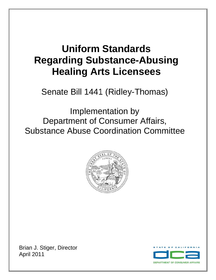# **Uniform Standards Regarding Substance-Abusing Healing Arts Licensees**

Senate Bill 1441 (Ridley-Thomas)

Implementation by Department of Consumer Affairs, Substance Abuse Coordination Committee



Brian J. Stiger, Director April 2011

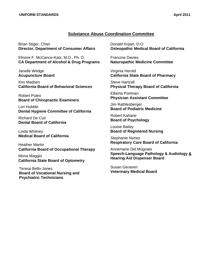## **Substance Abuse Coordination Committee**

Brian Stiger, Chair **Director, Department of Consumer Affairs** 

Elinore F. McCance-Katz, M.D., Ph. D. **CA Department of Alcohol & Drug Programs** 

Janelle Wedge **Acupuncture Board** 

Kim Madsen **California Board of Behavioral Sciences** 

Robert Puleo **Board of Chiropractic Examiners** 

Lori Hubble **Dental Hygiene Committee of California** 

Richard De Cuir **Dental Board of California** 

Linda Whitney **Medical Board of California** 

Heather Martin **California Board of Occupational Therapy** 

Mona Maggio **California State Board of Optometry** 

Teresa Bello-Jones **Board of Vocational Nursing and Psychiatric Technicians** 

Donald Krpan, D.O. **Osteopathic Medical Board of California** 

Francine Davies **Naturopathic Medicine Committee** 

Virginia Herold **California State Board of Pharmacy** 

Steve Hartzell **Physical Therapy Board of California** 

Elberta Portman **Physician Assistant Committee** 

Jim Rathlesberger **Board of Podiatric Medicine** 

Robert Kahane **Board of Psychology** 

Louise Bailey **Board of Registered Nursing** 

Stephanie Nunez **Respiratory Care Board of California** 

Annemarie Del Mugnaio **Speech-Language Pathology & Audiology & Hearing Aid Dispenser Board** 

Susan Geranen **Veterinary Medical Board**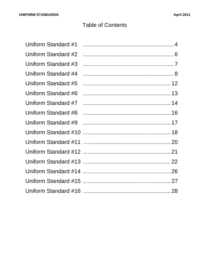## **Table of Contents**

| Uniform Standard #1 |  |
|---------------------|--|
| Uniform Standard #2 |  |
| Uniform Standard #3 |  |
| Uniform Standard #4 |  |
| Uniform Standard #5 |  |
| Uniform Standard #6 |  |
| Uniform Standard #7 |  |
| Uniform Standard #8 |  |
| Uniform Standard #9 |  |
|                     |  |
|                     |  |
|                     |  |
|                     |  |
|                     |  |
|                     |  |
|                     |  |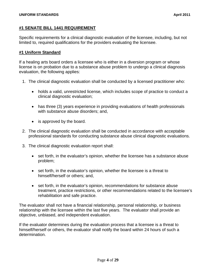## **#1 SENATE BILL 1441 REQUIREMENT**

Specific requirements for a clinical diagnostic evaluation of the licensee, including, but not limited to, required qualifications for the providers evaluating the licensee.

## **#1 Uniform Standard**

If a healing arts board orders a licensee who is either in a diversion program or whose license is on probation due to a substance abuse problem to undergo a clinical diagnosis evaluation, the following applies:

- 1. The clinical diagnostic evaluation shall be conducted by a licensed practitioner who:
	- holds a valid, unrestricted license, which includes scope of practice to conduct a clinical diagnostic evaluation;
	- has three (3) years experience in providing evaluations of health professionals with substance abuse disorders; and,
	- is approved by the board.
- 2. The clinical diagnostic evaluation shall be conducted in accordance with acceptable professional standards for conducting substance abuse clinical diagnostic evaluations.
- 3. The clinical diagnostic evaluation report shall:
	- set forth, in the evaluator's opinion, whether the licensee has a substance abuse problem;
	- set forth, in the evaluator's opinion, whether the licensee is a threat to himself/herself or others; and,
	- set forth, in the evaluator's opinion, recommendations for substance abuse treatment, practice restrictions, or other recommendations related to the licensee's rehabilitation and safe practice.

The evaluator shall not have a financial relationship, personal relationship, or business relationship with the licensee within the last five years. The evaluator shall provide an objective, unbiased, and independent evaluation.

If the evaluator determines during the evaluation process that a licensee is a threat to himself/herself or others, the evaluator shall notify the board within 24 hours of such a determination.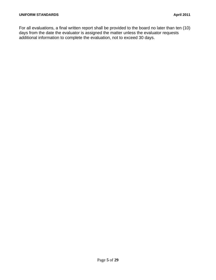For all evaluations, a final written report shall be provided to the board no later than ten (10) days from the date the evaluator is assigned the matter unless the evaluator requests additional information to complete the evaluation, not to exceed 30 days.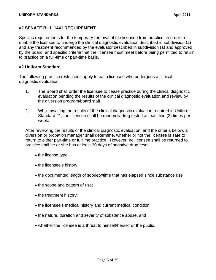## **#2 SENATE BILL 1441 REQUIREMENT**

Specific requirements for the temporary removal of the licensee from practice, in order to enable the licensee to undergo the clinical diagnostic evaluation described in subdivision (a) and any treatment recommended by the evaluator described in subdivision (a) and approved by the board, and specific criteria that the licensee must meet before being permitted to return to practice on a full-time or part-time basis.

## **#2 Uniform Standard**

The following practice restrictions apply to each licensee who undergoes a clinical diagnostic evaluation:

- 1. The Board shall order the licensee to cease practice during the clinical diagnostic evaluation pending the results of the clinical diagnostic evaluation and review by the diversion program/board staff.
- 2. While awaiting the results of the clinical diagnostic evaluation required in Uniform Standard #1, the licensee shall be randomly drug tested at least two (2) times per week.

After reviewing the results of the clinical diagnostic evaluation, and the criteria below, a diversion or probation manager shall determine, whether or not the licensee is safe to return to either part-time or fulltime practice. However, no licensee shall be returned to practice until he or she has at least 30 days of negative drug tests.

- the license type;
- the licensee's history;
- the documented length of sobriety/time that has elapsed since substance use
- the scope and pattern of use;
- the treatment history;
- the licensee's medical history and current medical condition;
- the nature, duration and severity of substance abuse, and
- whether the licensee is a threat to himself/herself or the public.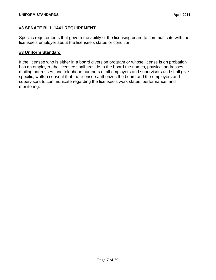## **#3 SENATE BILL 1441 REQUIREMENT**

Specific requirements that govern the ability of the licensing board to communicate with the licensee's employer about the licensee's status or condition.

## **#3 Uniform Standard**

If the licensee who is either in a board diversion program or whose license is on probation has an employer, the licensee shall provide to the board the names, physical addresses, mailing addresses, and telephone numbers of all employers and supervisors and shall give specific, written consent that the licensee authorizes the board and the employers and supervisors to communicate regarding the licensee's work status, performance, and monitoring.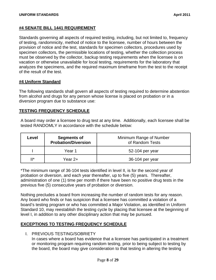## **#4 SENATE BILL 1441 REQUIREMENT**

Standards governing all aspects of required testing, including, but not limited to, frequency of testing, randomnicity, method of notice to the licensee, number of hours between the provision of notice and the test, standards for specimen collectors, procedures used by specimen collectors, the permissible locations of testing, whether the collection process must be observed by the collector, backup testing requirements when the licensee is on vacation or otherwise unavailable for local testing, requirements for the laboratory that analyzes the specimens, and the required maximum timeframe from the test to the receipt of the result of the test.

## **#4 Uniform Standard**

The following standards shall govern all aspects of testing required to determine abstention from alcohol and drugs for any person whose license is placed on probation or in a diversion program due to substance use:

## **TESTING FREQUENCY SCHEDULE**

A board may order a licensee to drug test at any time. Additionally, each licensee shall be tested RANDOMLY in accordance with the schedule below:

| Level          | <b>Segments of</b><br><b>Probation/Diversion</b> | Minimum Range of Number<br>of Random Tests |
|----------------|--------------------------------------------------|--------------------------------------------|
|                | Year 1                                           | 52-104 per year                            |
| $\mathbf{H}^*$ | Year 2+                                          | 36-104 per year                            |

\*The minimum range of 36-104 tests identified in level II, is for the second year of probation or diversion, and each year thereafter, up to five (5) years. Thereafter, administration of one (1) time per month if there have been no positive drug tests in the previous five (5) consecutive years of probation or diversion.

Nothing precludes a board from increasing the number of random tests for any reason. Any board who finds or has suspicion that a licensee has committed a violation of a board's testing program or who has committed a Major Violation, as identified in Uniform Standard 10, may reestablish the testing cycle by placing that licensee at the beginning of level I, in addition to any other disciplinary action that may be pursued.

## **EXCEPTIONS TO TESTING FREQUENCY SCHEDULE**

I. PREVIOUS TESTING/SOBRIETY

In cases where a board has evidence that a licensee has participated in a treatment or monitoring program requiring random testing, prior to being subject to testing by the board, the board may give consideration to that testing in altering the testing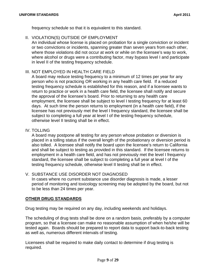frequency schedule so that it is equivalent to this standard.

II. VIOLATION(S) OUTSIDE OF EMPLOYMENT

An individual whose license is placed on probation for a single conviction or incident or two convictions or incidents, spanning greater than seven years from each other, where those violations did not occur at work or while on the licensee's way to work, where alcohol or drugs were a contributing factor, may bypass level I and participate in level II of the testing frequency schedule.

## III. NOT EMPLOYED IN HEALTH CARE FIELD

A board may reduce testing frequency to a minimum of 12 times per year for any person who is not practicing OR working in any health care field. If a reduced testing frequency schedule is established for this reason, and if a licensee wants to return to practice or work in a health care field, the licensee shall notify and secure the approval of the licensee's board. Prior to returning to any health care employment, the licensee shall be subject to level I testing frequency for at least 60 days. At such time the person returns to employment (in a health care field), if the licensee has not previously met the level I frequency standard, the licensee shall be subject to completing a full year at level I of the testing frequency schedule, otherwise level II testing shall be in effect.

## IV. TOLLING

A board may postpone all testing for any person whose probation or diversion is placed in a tolling status if the overall length of the probationary or diversion period is also tolled. A licensee shall notify the board upon the licensee's return to California and shall be subject to testing as provided in this standard. If the licensee returns to employment in a health care field, and has not previously met the level I frequency standard, the licensee shall be subject to completing a full year at level I of the testing frequency schedule, otherwise level II testing shall be in effect.

## V. SUBSTANCE USE DISORDER NOT DIAGNOSED

In cases where no current substance use disorder diagnosis is made, a lesser period of monitoring and toxicology screening may be adopted by the board, but not to be less than 24 times per year.

## **OTHER DRUG STANDARDS**

Drug testing may be required on any day, including weekends and holidays.

The scheduling of drug tests shall be done on a random basis, preferably by a computer program, so that a licensee can make no reasonable assumption of when he/she will be tested again. Boards should be prepared to report data to support back-to-back testing as well as, numerous different intervals of testing.

Licensees shall be required to make daily contact to determine if drug testing is required.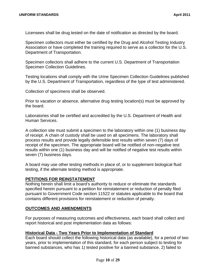Licensees shall be drug tested on the date of notification as directed by the board.

Specimen collectors must either be certified by the Drug and Alcohol Testing Industry Association or have completed the training required to serve as a collector for the U.S. Department of Transportation.

**Specimen Collection Guidelines.** Specimen collectors shall adhere to the current U.S. Department of Transportation

Testing locations shall comply with the Urine Specimen Collection Guidelines published by the U.S. Department of Transportation, regardless of the type of test administered.

Collection of specimens shall be observed.

Prior to vacation or absence, alternative drug testing location(s) must be approved by the board.

Laboratories shall be certified and accredited by the U.S. Department of Health and Human Services.

A collection site must submit a specimen to the laboratory within one (1) business day of receipt. A chain of custody shall be used on all specimens. The laboratory shall process results and provide legally defensible test results within seven (7) days of receipt of the specimen. The appropriate board will be notified of non-negative test results within one (1) business day and will be notified of negative test results within seven (7) business days.

A board may use other testing methods in place of, or to supplement biological fluid testing, if the alternate testing method is appropriate.

## **PETITIONS FOR REINSTATEMENT**

Nothing herein shall limit a board's authority to reduce or eliminate the standards specified herein pursuant to a petition for reinstatement or reduction of penalty filed pursuant to Government Code section 11522 or statutes applicable to the board that contains different provisions for reinstatement or reduction of penalty.

## **OUTCOMES AND AMENDMENTS**

For purposes of measuring outcomes and effectiveness, each board shall collect and report historical and post implementation data as follows:

## **Historical Data - Two Years Prior to Implementation of Standard**

Each board should collect the following historical data (as available), for a period of two years, prior to implementation of this standard, for each person subject to testing for banned substances, who has 1) tested positive for a banned substance, 2) failed to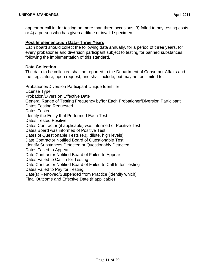appear or call in, for testing on more than three occasions, 3) failed to pay testing costs, or 4) a person who has given a dilute or invalid specimen.

#### **Post Implementation Data- Three Years**

Each board should collect the following data annually, for a period of three years, for every probationer and diversion participant subject to testing for banned substances, following the implementation of this standard.

#### **Data Collection**

The data to be collected shall be reported to the Department of Consumer Affairs and the Legislature, upon request, and shall include, but may not be limited to:

Probationer/Diversion Participant Unique Identifier License Type Probation/Diversion Effective Date General Range of Testing Frequency by/for Each Probationer/Diversion Participant Dates Testing Requested Dates Tested Identify the Entity that Performed Each Test Dates Tested Positive Dates Contractor (if applicable) was informed of Positive Test Dates Board was informed of Positive Test Dates of Questionable Tests (e.g. dilute, high levels) Date Contractor Notified Board of Questionable Test Identify Substances Detected or Questionably Detected Dates Failed to Appear Date Contractor Notified Board of Failed to Appear Dates Failed to Call In for Testing Date Contractor Notified Board of Failed to Call In for Testing Dates Failed to Pay for Testing Date(s) Removed/Suspended from Practice (identify which) Final Outcome and Effective Date (if applicable)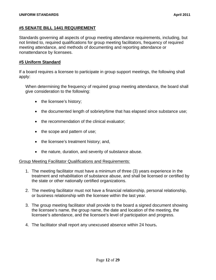## **#5 SENATE BILL 1441 REQUIREMENT**

Standards governing all aspects of group meeting attendance requirements, including, but not limited to, required qualifications for group meeting facilitators, frequency of required meeting attendance, and methods of documenting and reporting attendance or nonattendance by licensees.

## **#5 Uniform Standard**

If a board requires a licensee to participate in group support meetings, the following shall apply:

When determining the frequency of required group meeting attendance, the board shall give consideration to the following:

- the licensee's history;
- the documented length of sobriety/time that has elapsed since substance use;
- the recommendation of the clinical evaluator;
- the scope and pattern of use;
- the licensee's treatment history; and,
- the nature, duration, and severity of substance abuse.

#### Group Meeting Facilitator Qualifications and Requirements:

- 1. The meeting facilitator must have a minimum of three (3) years experience in the treatment and rehabilitation of substance abuse, and shall be licensed or certified by the state or other nationally certified organizations.
- 2. The meeting facilitator must not have a financial relationship, personal relationship, or business relationship with the licensee within the last year.
- 3. The group meeting facilitator shall provide to the board a signed document showing the licensee's name, the group name, the date and location of the meeting, the licensee's attendance, and the licensee's level of participation and progress.
- 4. The facilitator shall report any unexcused absence within 24 hours**.**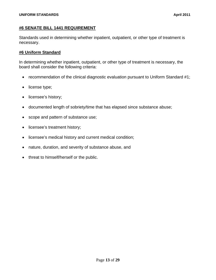## **#6 SENATE BILL 1441 REQUIREMENT**

Standards used in determining whether inpatient, outpatient, or other type of treatment is necessary.

## **#6 Uniform Standard**

In determining whether inpatient, outpatient, or other type of treatment is necessary, the board shall consider the following criteria:

- recommendation of the clinical diagnostic evaluation pursuant to Uniform Standard #1;
- license type;
- licensee's history;
- documented length of sobriety/time that has elapsed since substance abuse;
- scope and pattern of substance use;
- licensee's treatment history;
- licensee's medical history and current medical condition;
- nature, duration, and severity of substance abuse, and
- threat to himself/herself or the public.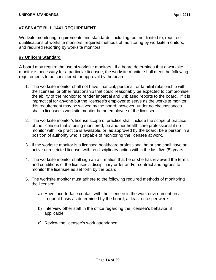## **#7 SENATE BILL 1441 REQUIREMENT**

Worksite monitoring requirements and standards, including, but not limited to, required qualifications of worksite monitors, required methods of monitoring by worksite monitors, and required reporting by worksite monitors.

## **#7 Uniform Standard**

A board may require the use of worksite monitors. If a board determines that a worksite monitor is necessary for a particular licensee, the worksite monitor shall meet the following requirements to be considered for approval by the board.

- 1. The worksite monitor shall not have financial, personal, or familial relationship with the licensee, or other relationship that could reasonably be expected to compromise the ability of the monitor to render impartial and unbiased reports to the board. If it is impractical for anyone but the licensee's employer to serve as the worksite monitor, this requirement may be waived by the board; however, under no circumstances shall a licensee's worksite monitor be an employee of the licensee.
- 2. The worksite monitor's license scope of practice shall include the scope of practice of the licensee that is being monitored, be another health care professional if no monitor with like practice is available, or, as approved by the board, be a person in a position of authority who is capable of monitoring the licensee at work.
- 3. If the worksite monitor is a licensed healthcare professional he or she shall have an active unrestricted license, with no disciplinary action within the last five (5) years.
- 4. The worksite monitor shall sign an affirmation that he or she has reviewed the terms and conditions of the licensee's disciplinary order and/or contract and agrees to monitor the licensee as set forth by the board.
- 5. The worksite monitor must adhere to the following required methods of monitoring the licensee:
	- a) Have face-to-face contact with the licensee in the work environment on a frequent basis as determined by the board, at least once per week.
	- b) Interview other staff in the office regarding the licensee's behavior, if applicable.
	- c) Review the licensee's work attendance.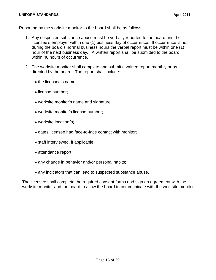#### **UNIFORM STANDARDS April 2011**

Reporting by the worksite monitor to the board shall be as follows:

- 1. Any suspected substance abuse must be verbally reported to the board and the licensee's employer within one (1) business day of occurrence. If occurrence is not during the board's normal business hours the verbal report must be within one (1) hour of the next business day. A written report shall be submitted to the board within 48 hours of occurrence.
- 2. The worksite monitor shall complete and submit a written report monthly or as directed by the board. The report shall include:
	- the licensee's name;
	- license number;
	- worksite monitor's name and signature;
	- worksite monitor's license number;
	- worksite location(s);
	- dates licensee had face-to-face contact with monitor;
	- staff interviewed, if applicable;
	- attendance report;
	- any change in behavior and/or personal habits;
	- any indicators that can lead to suspected substance abuse.

The licensee shall complete the required consent forms and sign an agreement with the worksite monitor and the board to allow the board to communicate with the worksite monitor.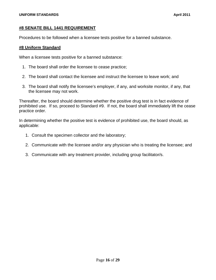## **#8 SENATE BILL 1441 REQUIREMENT**

Procedures to be followed when a licensee tests positive for a banned substance.

## **#8 Uniform Standard**

When a licensee tests positive for a banned substance:

- 1. The board shall order the licensee to cease practice;
- 2. The board shall contact the licensee and instruct the licensee to leave work; and
- 3. The board shall notify the licensee's employer, if any, and worksite monitor, if any, that the licensee may not work.

Thereafter, the board should determine whether the positive drug test is in fact evidence of prohibited use. If so, proceed to Standard #9. If not, the board shall immediately lift the cease practice order.

In determining whether the positive test is evidence of prohibited use, the board should, as applicable:

- 1. Consult the specimen collector and the laboratory;
- 2. Communicate with the licensee and/or any physician who is treating the licensee; and
- 3. Communicate with any treatment provider, including group facilitator/s.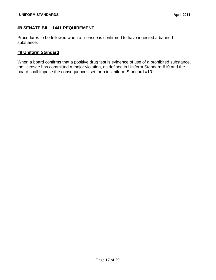## **#9 SENATE BILL 1441 REQUIREMENT**

Procedures to be followed when a licensee is confirmed to have ingested a banned substance.

## **#9 Uniform Standard**

When a board confirms that a positive drug test is evidence of use of a prohibited substance, the licensee has committed a major violation, as defined in Uniform Standard #10 and the board shall impose the consequences set forth in Uniform Standard #10.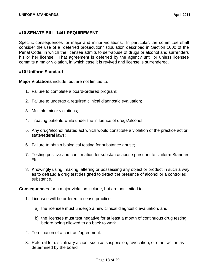## **#10 SENATE BILL 1441 REQUIREMENT**

Specific consequences for major and minor violations. In particular, the committee shall consider the use of a "deferred prosecution" stipulation described in Section 1000 of the Penal Code, in which the licensee admits to self-abuse of drugs or alcohol and surrenders his or her license. That agreement is deferred by the agency until or unless licensee commits a major violation, in which case it is revived and license is surrendered.

#### **#10 Uniform Standard**

**Major Violations** include, but are not limited to:

- 1. Failure to complete a board-ordered program;
- 2. Failure to undergo a required clinical diagnostic evaluation;
- 3. Multiple minor violations;
- 4. Treating patients while under the influence of drugs/alcohol;
- 5. Any drug/alcohol related act which would constitute a violation of the practice act or state/federal laws;
- 6. Failure to obtain biological testing for substance abuse;
- 7. Testing positive and confirmation for substance abuse pursuant to Uniform Standard #9;
- 8. Knowingly using, making, altering or possessing any object or product in such a way as to defraud a drug test designed to detect the presence of alcohol or a controlled substance.

**Consequences** for a major violation include, but are not limited to:

- 1. Licensee will be ordered to cease practice.
	- a) the licensee must undergo a new clinical diagnostic evaluation, and
	- b) the licensee must test negative for at least a month of continuous drug testing before being allowed to go back to work.
- 2. Termination of a contract/agreement.
- 3. Referral for disciplinary action, such as suspension, revocation, or other action as determined by the board.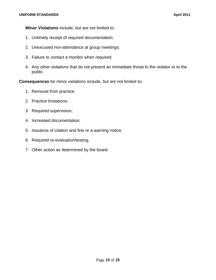**Minor Violations** include, but are not limited to:

- 1. Untimely receipt of required documentation;
- 2. Unexcused non-attendance at group meetings;
- 3. Failure to contact a monitor when required;
- 4. Any other violations that do not present an immediate threat to the violator or to the public.

**Consequences** for minor violations include, but are not limited to**:** 

- 1. Removal from practice;
- 2. Practice limitations;
- 3. Required supervision;
- 4. Increased documentation;
- 5. Issuance of citation and fine or a warning notice;
- 6. Required re-evaluation/testing;
- 7. Other action as determined by the board.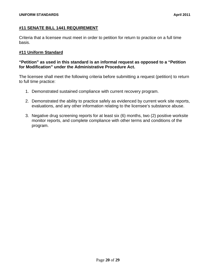## **#11 SENATE BILL 1441 REQUIREMENT**

Criteria that a licensee must meet in order to petition for return to practice on a full time basis.

## **#11 Uniform Standard**

## **"Petition" as used in this standard is an informal request as opposed to a "Petition for Modification" under the Administrative Procedure Act.**

The licensee shall meet the following criteria before submitting a request (petition) to return to full time practice:

- 1. Demonstrated sustained compliance with current recovery program.
- 2. Demonstrated the ability to practice safely as evidenced by current work site reports, evaluations, and any other information relating to the licensee's substance abuse.
- 3. Negative drug screening reports for at least six (6) months, two (2) positive worksite monitor reports, and complete compliance with other terms and conditions of the program.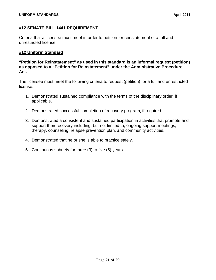## **#12 SENATE BILL 1441 REQUIREMENT**

Criteria that a licensee must meet in order to petition for reinstatement of a full and unrestricted license.

## **#12 Uniform Standard**

**"Petition for Reinstatement" as used in this standard is an informal request (petition) as opposed to a "Petition for Reinstatement" under the Administrative Procedure Act.** 

The licensee must meet the following criteria to request (petition) for a full and unrestricted license.

- 1. Demonstrated sustained compliance with the terms of the disciplinary order, if applicable.
- 2. Demonstrated successful completion of recovery program, if required.
- 3. Demonstrated a consistent and sustained participation in activities that promote and support their recovery including, but not limited to, ongoing support meetings, therapy, counseling, relapse prevention plan, and community activities.
- 4. Demonstrated that he or she is able to practice safely.
- 5. Continuous sobriety for three (3) to five (5) years.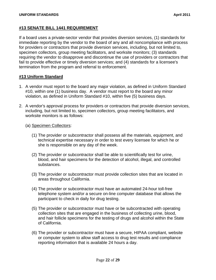## **#13 SENATE BILL 1441 REQUIREMENT**

If a board uses a private-sector vendor that provides diversion services, (1) standards for immediate reporting by the vendor to the board of any and all noncompliance with process for providers or contractors that provide diversion services, including, but not limited to, specimen collectors, group meeting facilitators, and worksite monitors; (3) standards requiring the vendor to disapprove and discontinue the use of providers or contractors that fail to provide effective or timely diversion services; and (4) standards for a licensee's termination from the program and referral to enforcement.

## **#13 Uniform Standard**

- 1. A vendor must report to the board any major violation, as defined in Uniform Standard #10, within one (1) business day. A vendor must report to the board any minor violation, as defined in Uniform Standard #10, within five (5) business days.
- 2. A vendor's approval process for providers or contractors that provide diversion services, including, but not limited to, specimen collectors, group meeting facilitators, and worksite monitors is as follows:
	- (a) Specimen Collectors:
		- (1) The provider or subcontractor shall possess all the materials, equipment, and technical expertise necessary in order to test every licensee for which he or she is responsible on any day of the week.
		- (2) The provider or subcontractor shall be able to scientifically test for urine, blood, and hair specimens for the detection of alcohol, illegal, and controlled substances.
		- (3) The provider or subcontractor must provide collection sites that are located in areas throughout California.
		- (4) The provider or subcontractor must have an automated 24-hour toll-free telephone system and/or a secure on-line computer database that allows the participant to check in daily for drug testing.
		- (5) The provider or subcontractor must have or be subcontracted with operating collection sites that are engaged in the business of collecting urine, blood, and hair follicle specimens for the testing of drugs and alcohol within the State of California.
		- (6) The provider or subcontractor must have a secure, HIPAA compliant, website or computer system to allow staff access to drug test results and compliance reporting information that is available 24 hours a day.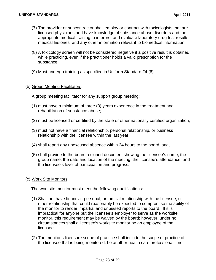- (7) The provider or subcontractor shall employ or contract with toxicologists that are licensed physicians and have knowledge of substance abuse disorders and the appropriate medical training to interpret and evaluate laboratory drug test results, medical histories, and any other information relevant to biomedical information.
- (8) A toxicology screen will not be considered negative if a positive result is obtained while practicing, even if the practitioner holds a valid prescription for the substance.
- (9) Must undergo training as specified in Uniform Standard #4 (6).

#### (b) Group Meeting Facilitators:

A group meeting facilitator for any support group meeting:

- (1) must have a minimum of three (3) years experience in the treatment and rehabilitation of substance abuse;
- (2) must be licensed or certified by the state or other nationally certified organization;
- (3) must not have a financial relationship, personal relationship, or business relationship with the licensee within the last year;
- (4) shall report any unexcused absence within 24 hours to the board, and,
- (5) shall provide to the board a signed document showing the licensee's name, the group name, the date and location of the meeting, the licensee's attendance, and the licensee's level of participation and progress.

#### (c) Work Site Monitors:

The worksite monitor must meet the following qualifications:

- (1) Shall not have financial, personal, or familial relationship with the licensee, or other relationship that could reasonably be expected to compromise the ability of the monitor to render impartial and unbiased reports to the board. If it is impractical for anyone but the licensee's employer to serve as the worksite monitor, this requirement may be waived by the board; however, under no circumstances shall a licensee's worksite monitor be an employee of the licensee.
- (2) The monitor's licensure scope of practice shall include the scope of practice of the licensee that is being monitored, be another health care professional if no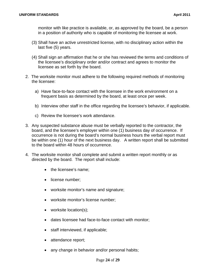monitor with like practice is available, or, as approved by the board, be a person in a position of authority who is capable of monitoring the licensee at work.

- (3) Shall have an active unrestricted license, with no disciplinary action within the last five (5) years.
- (4) Shall sign an affirmation that he or she has reviewed the terms and conditions of the licensee's disciplinary order and/or contract and agrees to monitor the licensee as set forth by the board.
- 2. The worksite monitor must adhere to the following required methods of monitoring the licensee:
	- a) Have face-to-face contact with the licensee in the work environment on a frequent basis as determined by the board, at least once per week.
	- b) Interview other staff in the office regarding the licensee's behavior, if applicable.
	- c) Review the licensee's work attendance.
- 3. Any suspected substance abuse must be verbally reported to the contractor, the board, and the licensee's employer within one (1) business day of occurrence. If occurrence is not during the board's normal business hours the verbal report must be within one (1) hour of the next business day. A written report shall be submitted to the board within 48 hours of occurrence.
- 4. The worksite monitor shall complete and submit a written report monthly or as directed by the board. The report shall include:
	- the licensee's name:
	- license number;
	- worksite monitor's name and signature;
	- worksite monitor's license number;
	- worksite location(s);
	- dates licensee had face-to-face contact with monitor;
	- staff interviewed, if applicable;
	- attendance report;
	- any change in behavior and/or personal habits;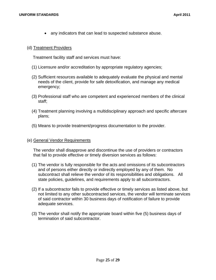any indicators that can lead to suspected substance abuse.

#### (d) Treatment Providers

Treatment facility staff and services must have:

- (1) Licensure and/or accreditation by appropriate regulatory agencies;
- (2) Sufficient resources available to adequately evaluate the physical and mental needs of the client, provide for safe detoxification, and manage any medical emergency;
- (3) Professional staff who are competent and experienced members of the clinical staff;
- (4) Treatment planning involving a multidisciplinary approach and specific aftercare plans;
- (5) Means to provide treatment/progress documentation to the provider.

#### (e) General Vendor Requirements

The vendor shall disapprove and discontinue the use of providers or contractors that fail to provide effective or timely diversion services as follows:

- (1) The vendor is fully responsible for the acts and omissions of its subcontractors and of persons either directly or indirectly employed by any of them. No subcontract shall relieve the vendor of its responsibilities and obligations. All state policies, guidelines, and requirements apply to all subcontractors.
- (2) If a subcontractor fails to provide effective or timely services as listed above, but not limited to any other subcontracted services, the vendor will terminate services of said contractor within 30 business days of notification of failure to provide adequate services.
- (3) The vendor shall notify the appropriate board within five (5) business days of termination of said subcontractor.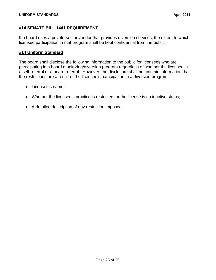## **#14 SENATE BILL 1441 REQUIREMENT**

If a board uses a private-sector vendor that provides diversion services, the extent to which licensee participation in that program shall be kept confidential from the public.

## **#14 Uniform Standard**

The board shall disclose the following information to the public for licensees who are participating in a board monitoring/diversion program regardless of whether the licensee is a self-referral or a board referral. However, the disclosure shall not contain information that the restrictions are a result of the licensee's participation in a diversion program.

- Licensee's name;
- Whether the licensee's practice is restricted, or the license is on inactive status;
- A detailed description of any restriction imposed.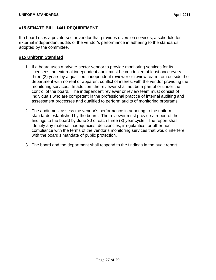## **#15 SENATE BILL 1441 REQUIREMENT**

If a board uses a private-sector vendor that provides diversion services, a schedule for external independent audits of the vendor's performance in adhering to the standards adopted by the committee.

## **#15 Uniform Standard**

- 1. If a board uses a private-sector vendor to provide monitoring services for its licensees, an external independent audit must be conducted at least once every three (3) years by a qualified, independent reviewer or review team from outside the department with no real or apparent conflict of interest with the vendor providing the monitoring services. In addition, the reviewer shall not be a part of or under the control of the board. The independent reviewer or review team must consist of individuals who are competent in the professional practice of internal auditing and assessment processes and qualified to perform audits of monitoring programs.
- 2. The audit must assess the vendor's performance in adhering to the uniform standards established by the board. The reviewer must provide a report of their findings to the board by June 30 of each three (3) year cycle. The report shall identify any material inadequacies, deficiencies, irregularities, or other noncompliance with the terms of the vendor's monitoring services that would interfere with the board's mandate of public protection.
- 3. The board and the department shall respond to the findings in the audit report.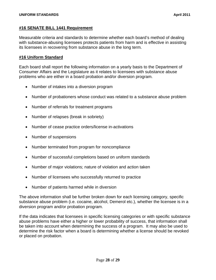## **#16 SENATE BILL 1441 Requirement**

Measurable criteria and standards to determine whether each board's method of dealing with substance-abusing licensees protects patients from harm and is effective in assisting its licensees in recovering from substance abuse in the long term.

#### **#16 Uniform Standard**

Each board shall report the following information on a yearly basis to the Department of Consumer Affairs and the Legislature as it relates to licensees with substance abuse problems who are either in a board probation and/or diversion program.

- Number of intakes into a diversion program
- Number of probationers whose conduct was related to a substance abuse problem
- Number of referrals for treatment programs
- Number of relapses (break in sobriety)
- Number of cease practice orders/license in-activations
- Number of suspensions
- Number terminated from program for noncompliance
- Number of successful completions based on uniform standards
- Number of major violations; nature of violation and action taken
- Number of licensees who successfully returned to practice
- Number of patients harmed while in diversion

The above information shall be further broken down for each licensing category, specific substance abuse problem (i.e. cocaine, alcohol, Demerol etc.), whether the licensee is in a diversion program and/or probation program.

If the data indicates that licensees in specific licensing categories or with specific substance abuse problems have either a higher or lower probability of success, that information shall be taken into account when determining the success of a program. It may also be used to determine the risk factor when a board is determining whether a license should be revoked or placed on probation.